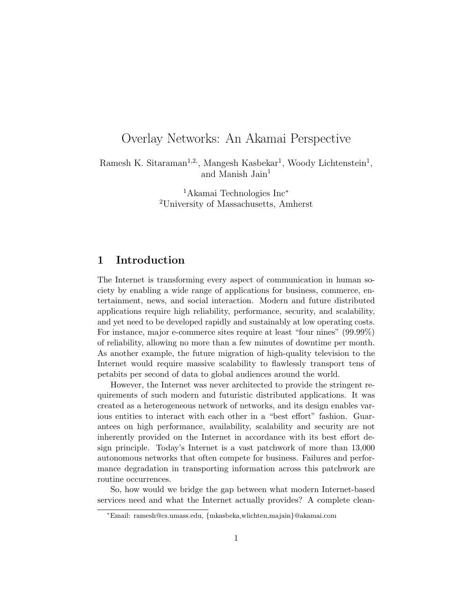# Overlay Networks: An Akamai Perspective

Ramesh K. Sitaraman<sup>1,2</sup>, Mangesh Kasbekar<sup>1</sup>, Woody Lichtenstein<sup>1</sup>, and Manish Jain<sup>1</sup>

> <sup>1</sup>Akamai Technologies Inc<sup>∗</sup> <sup>2</sup>University of Massachusetts, Amherst

## 1 Introduction

The Internet is transforming every aspect of communication in human society by enabling a wide range of applications for business, commerce, entertainment, news, and social interaction. Modern and future distributed applications require high reliability, performance, security, and scalability, and yet need to be developed rapidly and sustainably at low operating costs. For instance, major e-commerce sites require at least "four nines" (99.99%) of reliability, allowing no more than a few minutes of downtime per month. As another example, the future migration of high-quality television to the Internet would require massive scalability to flawlessly transport tens of petabits per second of data to global audiences around the world.

However, the Internet was never architected to provide the stringent requirements of such modern and futuristic distributed applications. It was created as a heterogeneous network of networks, and its design enables various entities to interact with each other in a "best effort" fashion. Guarantees on high performance, availability, scalability and security are not inherently provided on the Internet in accordance with its best effort design principle. Today's Internet is a vast patchwork of more than 13,000 autonomous networks that often compete for business. Failures and performance degradation in transporting information across this patchwork are routine occurrences.

So, how would we bridge the gap between what modern Internet-based services need and what the Internet actually provides? A complete clean-

<sup>∗</sup>Email: ramesh@cs.umass.edu, {mkasbeka,wlichten,majain}@akamai.com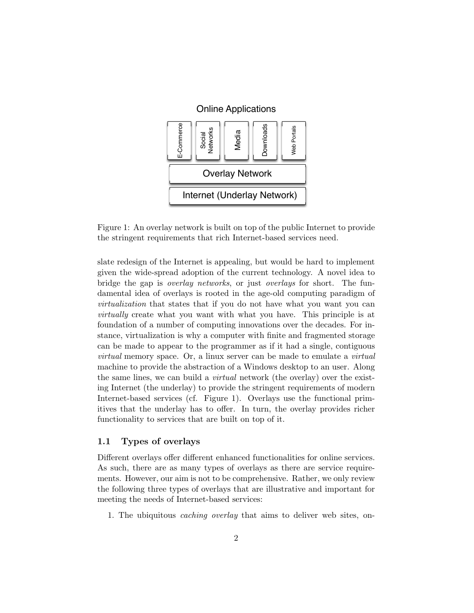

Figure 1: An overlay network is built on top of the public Internet to provide the stringent requirements that rich Internet-based services need.

slate redesign of the Internet is appealing, but would be hard to implement given the wide-spread adoption of the current technology. A novel idea to bridge the gap is overlay networks, or just overlays for short. The fundamental idea of overlays is rooted in the age-old computing paradigm of virtualization that states that if you do not have what you want you can virtually create what you want with what you have. This principle is at foundation of a number of computing innovations over the decades. For instance, virtualization is why a computer with finite and fragmented storage can be made to appear to the programmer as if it had a single, contiguous virtual memory space. Or, a linux server can be made to emulate a virtual machine to provide the abstraction of a Windows desktop to an user. Along the same lines, we can build a virtual network (the overlay) over the existing Internet (the underlay) to provide the stringent requirements of modern Internet-based services (cf. Figure 1). Overlays use the functional primitives that the underlay has to offer. In turn, the overlay provides richer functionality to services that are built on top of it.

### 1.1 Types of overlays

Different overlays offer different enhanced functionalities for online services. As such, there are as many types of overlays as there are service requirements. However, our aim is not to be comprehensive. Rather, we only review the following three types of overlays that are illustrative and important for meeting the needs of Internet-based services:

1. The ubiquitous caching overlay that aims to deliver web sites, on-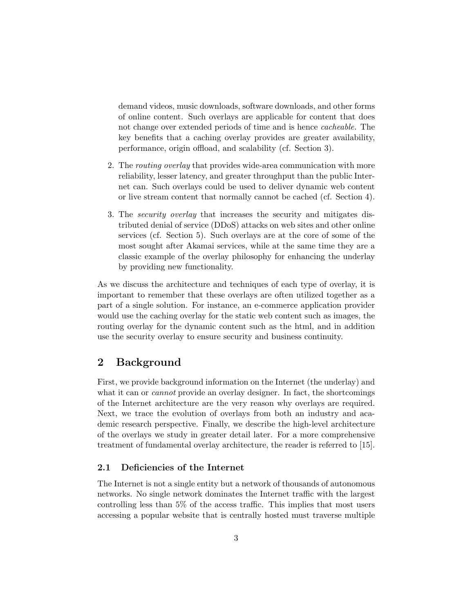demand videos, music downloads, software downloads, and other forms of online content. Such overlays are applicable for content that does not change over extended periods of time and is hence cacheable. The key benefits that a caching overlay provides are greater availability, performance, origin offload, and scalability (cf. Section 3).

- 2. The routing overlay that provides wide-area communication with more reliability, lesser latency, and greater throughput than the public Internet can. Such overlays could be used to deliver dynamic web content or live stream content that normally cannot be cached (cf. Section 4).
- 3. The security overlay that increases the security and mitigates distributed denial of service (DDoS) attacks on web sites and other online services (cf. Section 5). Such overlays are at the core of some of the most sought after Akamai services, while at the same time they are a classic example of the overlay philosophy for enhancing the underlay by providing new functionality.

As we discuss the architecture and techniques of each type of overlay, it is important to remember that these overlays are often utilized together as a part of a single solution. For instance, an e-commerce application provider would use the caching overlay for the static web content such as images, the routing overlay for the dynamic content such as the html, and in addition use the security overlay to ensure security and business continuity.

## 2 Background

First, we provide background information on the Internet (the underlay) and what it can or *cannot* provide an overlay designer. In fact, the shortcomings of the Internet architecture are the very reason why overlays are required. Next, we trace the evolution of overlays from both an industry and academic research perspective. Finally, we describe the high-level architecture of the overlays we study in greater detail later. For a more comprehensive treatment of fundamental overlay architecture, the reader is referred to [15].

### 2.1 Deficiencies of the Internet

The Internet is not a single entity but a network of thousands of autonomous networks. No single network dominates the Internet traffic with the largest controlling less than 5% of the access traffic. This implies that most users accessing a popular website that is centrally hosted must traverse multiple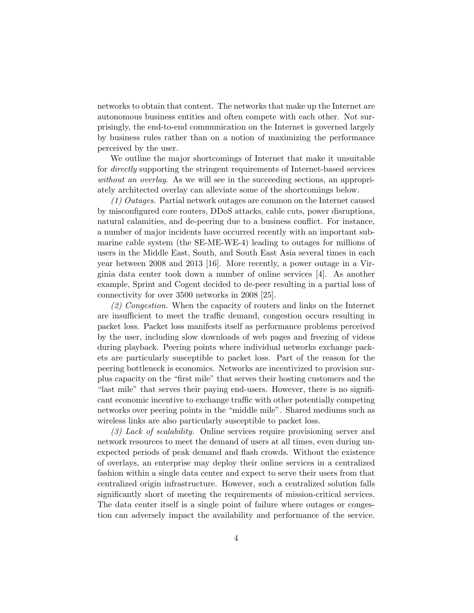networks to obtain that content. The networks that make up the Internet are autonomous business entities and often compete with each other. Not surprisingly, the end-to-end communication on the Internet is governed largely by business rules rather than on a notion of maximizing the performance perceived by the user.

We outline the major shortcomings of Internet that make it unsuitable for directly supporting the stringent requirements of Internet-based services without an overlay. As we will see in the succeeding sections, an appropriately architected overlay can alleviate some of the shortcomings below.

(1) Outages. Partial network outages are common on the Internet caused by misconfigured core routers, DDoS attacks, cable cuts, power disruptions, natural calamities, and de-peering due to a business conflict. For instance, a number of major incidents have occurred recently with an important submarine cable system (the SE-ME-WE-4) leading to outages for millions of users in the Middle East, South, and South East Asia several times in each year between 2008 and 2013 [16]. More recently, a power outage in a Virginia data center took down a number of online services [4]. As another example, Sprint and Cogent decided to de-peer resulting in a partial loss of connectivity for over 3500 networks in 2008 [25].

(2) Congestion. When the capacity of routers and links on the Internet are insufficient to meet the traffic demand, congestion occurs resulting in packet loss. Packet loss manifests itself as performance problems perceived by the user, including slow downloads of web pages and freezing of videos during playback. Peering points where individual networks exchange packets are particularly susceptible to packet loss. Part of the reason for the peering bottleneck is economics. Networks are incentivized to provision surplus capacity on the "first mile" that serves their hosting customers and the "last mile" that serves their paying end-users. However, there is no significant economic incentive to exchange traffic with other potentially competing networks over peering points in the "middle mile". Shared mediums such as wireless links are also particularly susceptible to packet loss.

(3) Lack of scalability. Online services require provisioning server and network resources to meet the demand of users at all times, even during unexpected periods of peak demand and flash crowds. Without the existence of overlays, an enterprise may deploy their online services in a centralized fashion within a single data center and expect to serve their users from that centralized origin infrastructure. However, such a centralized solution falls significantly short of meeting the requirements of mission-critical services. The data center itself is a single point of failure where outages or congestion can adversely impact the availability and performance of the service.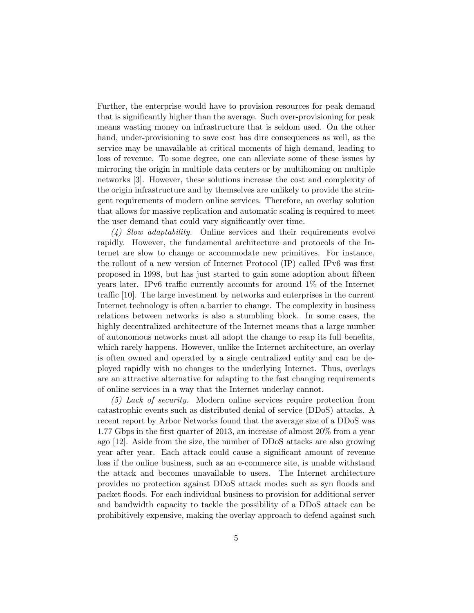Further, the enterprise would have to provision resources for peak demand that is significantly higher than the average. Such over-provisioning for peak means wasting money on infrastructure that is seldom used. On the other hand, under-provisioning to save cost has dire consequences as well, as the service may be unavailable at critical moments of high demand, leading to loss of revenue. To some degree, one can alleviate some of these issues by mirroring the origin in multiple data centers or by multihoming on multiple networks [3]. However, these solutions increase the cost and complexity of the origin infrastructure and by themselves are unlikely to provide the stringent requirements of modern online services. Therefore, an overlay solution that allows for massive replication and automatic scaling is required to meet the user demand that could vary significantly over time.

(4) Slow adaptability. Online services and their requirements evolve rapidly. However, the fundamental architecture and protocols of the Internet are slow to change or accommodate new primitives. For instance, the rollout of a new version of Internet Protocol (IP) called IPv6 was first proposed in 1998, but has just started to gain some adoption about fifteen years later. IPv6 traffic currently accounts for around 1% of the Internet traffic [10]. The large investment by networks and enterprises in the current Internet technology is often a barrier to change. The complexity in business relations between networks is also a stumbling block. In some cases, the highly decentralized architecture of the Internet means that a large number of autonomous networks must all adopt the change to reap its full benefits, which rarely happens. However, unlike the Internet architecture, an overlay is often owned and operated by a single centralized entity and can be deployed rapidly with no changes to the underlying Internet. Thus, overlays are an attractive alternative for adapting to the fast changing requirements of online services in a way that the Internet underlay cannot.

(5) Lack of security. Modern online services require protection from catastrophic events such as distributed denial of service (DDoS) attacks. A recent report by Arbor Networks found that the average size of a DDoS was 1.77 Gbps in the first quarter of 2013, an increase of almost 20% from a year ago [12]. Aside from the size, the number of DDoS attacks are also growing year after year. Each attack could cause a significant amount of revenue loss if the online business, such as an e-commerce site, is unable withstand the attack and becomes unavailable to users. The Internet architecture provides no protection against DDoS attack modes such as syn floods and packet floods. For each individual business to provision for additional server and bandwidth capacity to tackle the possibility of a DDoS attack can be prohibitively expensive, making the overlay approach to defend against such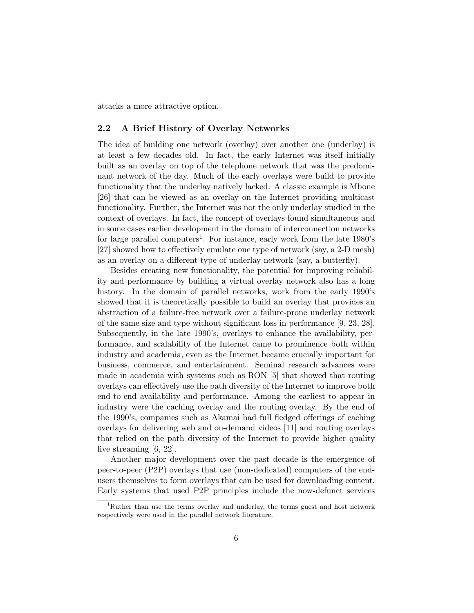attacks a more attractive option.

### 2.2 A Brief History of Overlay Networks

The idea of building one network (overlay) over another one (underlay) is at least a few decades old. In fact, the early Internet was itself initially built as an overlay on top of the telephone network that was the predominant network of the day. Much of the early overlays were build to provide functionality that the underlay natively lacked. A classic example is Mbone [26] that can be viewed as an overlay on the Internet providing multicast functionality. Further, the Internet was not the only underlay studied in the context of overlays. In fact, the concept of overlays found simultaneous and in some cases earlier development in the domain of interconnection networks for large parallel computers<sup>1</sup>. For instance, early work from the late  $1980's$ [27] showed how to effectively emulate one type of network (say, a 2-D mesh) as an overlay on a different type of underlay network (say, a butterfly).

Besides creating new functionality, the potential for improving reliability and performance by building a virtual overlay network also has a long history. In the domain of parallel networks, work from the early 1990's showed that it is theoretically possible to build an overlay that provides an abstraction of a failure-free network over a failure-prone underlay network of the same size and type without significant loss in performance [9, 23, 28]. Subsequently, in the late 1990's, overlays to enhance the availability, performance, and scalability of the Internet came to prominence both within industry and academia, even as the Internet became crucially important for business, commerce, and entertainment. Seminal research advances were made in academia with systems such as RON [5] that showed that routing overlays can effectively use the path diversity of the Internet to improve both end-to-end availability and performance. Among the earliest to appear in industry were the caching overlay and the routing overlay. By the end of the 1990's, companies such as Akamai had full fledged offerings of caching overlays for delivering web and on-demand videos [11] and routing overlays that relied on the path diversity of the Internet to provide higher quality live streaming [6, 22].

Another major development over the past decade is the emergence of peer-to-peer (P2P) overlays that use (non-dedicated) computers of the endusers themselves to form overlays that can be used for downloading content. Early systems that used P2P principles include the now-defunct services

 $1$ Rather than use the terms overlay and underlay, the terms guest and host network respectively were used in the parallel network literature.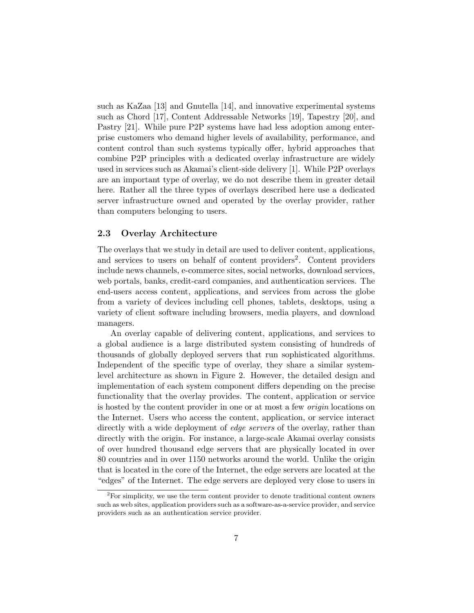such as KaZaa [13] and Gnutella [14], and innovative experimental systems such as Chord [17], Content Addressable Networks [19], Tapestry [20], and Pastry [21]. While pure P2P systems have had less adoption among enterprise customers who demand higher levels of availability, performance, and content control than such systems typically offer, hybrid approaches that combine P2P principles with a dedicated overlay infrastructure are widely used in services such as Akamai's client-side delivery [1]. While P2P overlays are an important type of overlay, we do not describe them in greater detail here. Rather all the three types of overlays described here use a dedicated server infrastructure owned and operated by the overlay provider, rather than computers belonging to users.

### 2.3 Overlay Architecture

The overlays that we study in detail are used to deliver content, applications, and services to users on behalf of content providers<sup>2</sup>. Content providers include news channels, e-commerce sites, social networks, download services, web portals, banks, credit-card companies, and authentication services. The end-users access content, applications, and services from across the globe from a variety of devices including cell phones, tablets, desktops, using a variety of client software including browsers, media players, and download managers.

An overlay capable of delivering content, applications, and services to a global audience is a large distributed system consisting of hundreds of thousands of globally deployed servers that run sophisticated algorithms. Independent of the specific type of overlay, they share a similar systemlevel architecture as shown in Figure 2. However, the detailed design and implementation of each system component differs depending on the precise functionality that the overlay provides. The content, application or service is hosted by the content provider in one or at most a few origin locations on the Internet. Users who access the content, application, or service interact directly with a wide deployment of *edge servers* of the overlay, rather than directly with the origin. For instance, a large-scale Akamai overlay consists of over hundred thousand edge servers that are physically located in over 80 countries and in over 1150 networks around the world. Unlike the origin that is located in the core of the Internet, the edge servers are located at the "edges" of the Internet. The edge servers are deployed very close to users in

 $2^2$ For simplicity, we use the term content provider to denote traditional content owners such as web sites, application providers such as a software-as-a-service provider, and service providers such as an authentication service provider.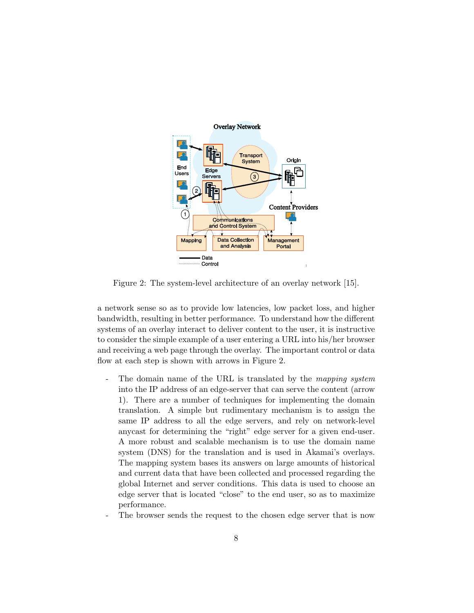

Figure 2: The system-level architecture of an overlay network [15].

a network sense so as to provide low latencies, low packet loss, and higher bandwidth, resulting in better performance. To understand how the different systems of an overlay interact to deliver content to the user, it is instructive to consider the simple example of a user entering a URL into his/her browser and receiving a web page through the overlay. The important control or data flow at each step is shown with arrows in Figure 2.

- The domain name of the URL is translated by the mapping system into the IP address of an edge-server that can serve the content (arrow 1). There are a number of techniques for implementing the domain translation. A simple but rudimentary mechanism is to assign the same IP address to all the edge servers, and rely on network-level anycast for determining the "right" edge server for a given end-user. A more robust and scalable mechanism is to use the domain name system (DNS) for the translation and is used in Akamai's overlays. The mapping system bases its answers on large amounts of historical and current data that have been collected and processed regarding the global Internet and server conditions. This data is used to choose an edge server that is located "close" to the end user, so as to maximize performance.
- The browser sends the request to the chosen edge server that is now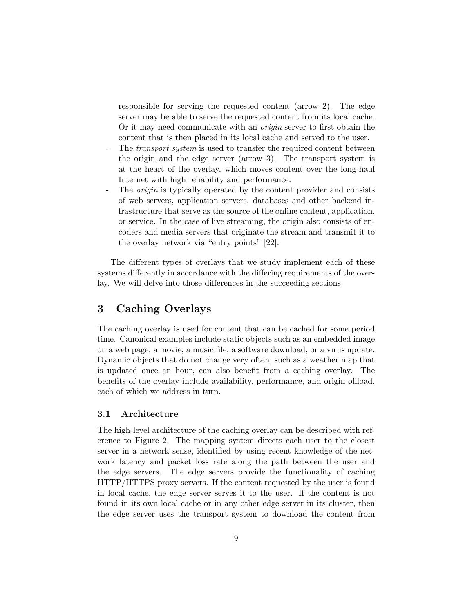responsible for serving the requested content (arrow 2). The edge server may be able to serve the requested content from its local cache. Or it may need communicate with an origin server to first obtain the content that is then placed in its local cache and served to the user.

- The *transport system* is used to transfer the required content between the origin and the edge server (arrow 3). The transport system is at the heart of the overlay, which moves content over the long-haul Internet with high reliability and performance.
- The *origin* is typically operated by the content provider and consists of web servers, application servers, databases and other backend infrastructure that serve as the source of the online content, application, or service. In the case of live streaming, the origin also consists of encoders and media servers that originate the stream and transmit it to the overlay network via "entry points" [22].

The different types of overlays that we study implement each of these systems differently in accordance with the differing requirements of the overlay. We will delve into those differences in the succeeding sections.

## 3 Caching Overlays

The caching overlay is used for content that can be cached for some period time. Canonical examples include static objects such as an embedded image on a web page, a movie, a music file, a software download, or a virus update. Dynamic objects that do not change very often, such as a weather map that is updated once an hour, can also benefit from a caching overlay. The benefits of the overlay include availability, performance, and origin offload, each of which we address in turn.

### 3.1 Architecture

The high-level architecture of the caching overlay can be described with reference to Figure 2. The mapping system directs each user to the closest server in a network sense, identified by using recent knowledge of the network latency and packet loss rate along the path between the user and the edge servers. The edge servers provide the functionality of caching HTTP/HTTPS proxy servers. If the content requested by the user is found in local cache, the edge server serves it to the user. If the content is not found in its own local cache or in any other edge server in its cluster, then the edge server uses the transport system to download the content from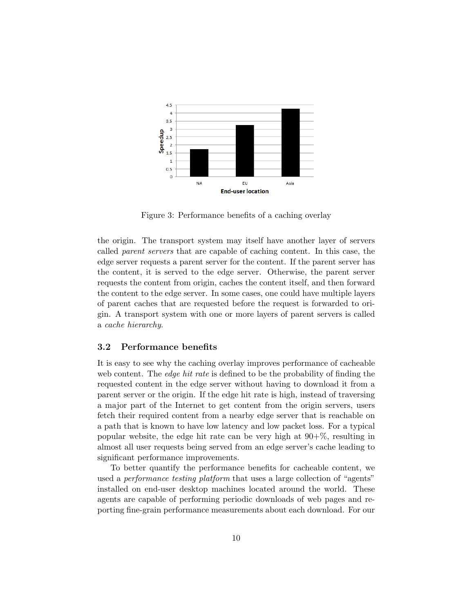

Figure 3: Performance benefits of a caching overlay

the origin. The transport system may itself have another layer of servers called parent servers that are capable of caching content. In this case, the edge server requests a parent server for the content. If the parent server has the content, it is served to the edge server. Otherwise, the parent server requests the content from origin, caches the content itself, and then forward the content to the edge server. In some cases, one could have multiple layers of parent caches that are requested before the request is forwarded to origin. A transport system with one or more layers of parent servers is called a cache hierarchy.

### 3.2 Performance benefits

It is easy to see why the caching overlay improves performance of cacheable web content. The *edge hit rate* is defined to be the probability of finding the requested content in the edge server without having to download it from a parent server or the origin. If the edge hit rate is high, instead of traversing a major part of the Internet to get content from the origin servers, users fetch their required content from a nearby edge server that is reachable on a path that is known to have low latency and low packet loss. For a typical popular website, the edge hit rate can be very high at  $90+\%$ , resulting in almost all user requests being served from an edge server's cache leading to significant performance improvements.

To better quantify the performance benefits for cacheable content, we used a *performance testing platform* that uses a large collection of "agents" installed on end-user desktop machines located around the world. These agents are capable of performing periodic downloads of web pages and reporting fine-grain performance measurements about each download. For our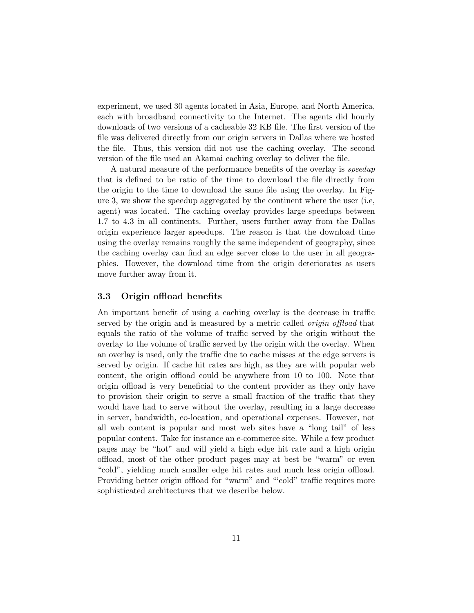experiment, we used 30 agents located in Asia, Europe, and North America, each with broadband connectivity to the Internet. The agents did hourly downloads of two versions of a cacheable 32 KB file. The first version of the file was delivered directly from our origin servers in Dallas where we hosted the file. Thus, this version did not use the caching overlay. The second version of the file used an Akamai caching overlay to deliver the file.

A natural measure of the performance benefits of the overlay is speedup that is defined to be ratio of the time to download the file directly from the origin to the time to download the same file using the overlay. In Figure 3, we show the speedup aggregated by the continent where the user (i.e, agent) was located. The caching overlay provides large speedups between 1.7 to 4.3 in all continents. Further, users further away from the Dallas origin experience larger speedups. The reason is that the download time using the overlay remains roughly the same independent of geography, since the caching overlay can find an edge server close to the user in all geographies. However, the download time from the origin deteriorates as users move further away from it.

### 3.3 Origin offload benefits

An important benefit of using a caching overlay is the decrease in traffic served by the origin and is measured by a metric called *origin offload* that equals the ratio of the volume of traffic served by the origin without the overlay to the volume of traffic served by the origin with the overlay. When an overlay is used, only the traffic due to cache misses at the edge servers is served by origin. If cache hit rates are high, as they are with popular web content, the origin offload could be anywhere from 10 to 100. Note that origin offload is very beneficial to the content provider as they only have to provision their origin to serve a small fraction of the traffic that they would have had to serve without the overlay, resulting in a large decrease in server, bandwidth, co-location, and operational expenses. However, not all web content is popular and most web sites have a "long tail" of less popular content. Take for instance an e-commerce site. While a few product pages may be "hot" and will yield a high edge hit rate and a high origin offload, most of the other product pages may at best be "warm" or even "cold", yielding much smaller edge hit rates and much less origin offload. Providing better origin offload for "warm" and "'cold" traffic requires more sophisticated architectures that we describe below.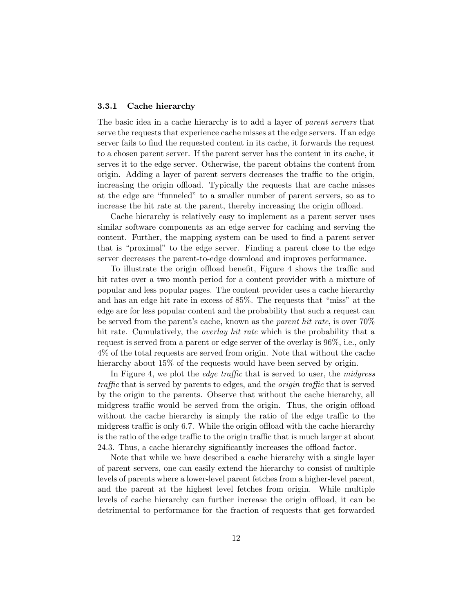#### 3.3.1 Cache hierarchy

The basic idea in a cache hierarchy is to add a layer of parent servers that serve the requests that experience cache misses at the edge servers. If an edge server fails to find the requested content in its cache, it forwards the request to a chosen parent server. If the parent server has the content in its cache, it serves it to the edge server. Otherwise, the parent obtains the content from origin. Adding a layer of parent servers decreases the traffic to the origin, increasing the origin offload. Typically the requests that are cache misses at the edge are "funneled" to a smaller number of parent servers, so as to increase the hit rate at the parent, thereby increasing the origin offload.

Cache hierarchy is relatively easy to implement as a parent server uses similar software components as an edge server for caching and serving the content. Further, the mapping system can be used to find a parent server that is "proximal" to the edge server. Finding a parent close to the edge server decreases the parent-to-edge download and improves performance.

To illustrate the origin offload benefit, Figure 4 shows the traffic and hit rates over a two month period for a content provider with a mixture of popular and less popular pages. The content provider uses a cache hierarchy and has an edge hit rate in excess of 85%. The requests that "miss" at the edge are for less popular content and the probability that such a request can be served from the parent's cache, known as the parent hit rate, is over 70% hit rate. Cumulatively, the *overlay hit rate* which is the probability that a request is served from a parent or edge server of the overlay is 96%, i.e., only 4% of the total requests are served from origin. Note that without the cache hierarchy about 15% of the requests would have been served by origin.

In Figure 4, we plot the *edge traffic* that is served to user, the *midgress* traffic that is served by parents to edges, and the origin traffic that is served by the origin to the parents. Observe that without the cache hierarchy, all midgress traffic would be served from the origin. Thus, the origin offload without the cache hierarchy is simply the ratio of the edge traffic to the midgress traffic is only 6.7. While the origin offload with the cache hierarchy is the ratio of the edge traffic to the origin traffic that is much larger at about 24.3. Thus, a cache hierarchy significantly increases the offload factor.

Note that while we have described a cache hierarchy with a single layer of parent servers, one can easily extend the hierarchy to consist of multiple levels of parents where a lower-level parent fetches from a higher-level parent, and the parent at the highest level fetches from origin. While multiple levels of cache hierarchy can further increase the origin offload, it can be detrimental to performance for the fraction of requests that get forwarded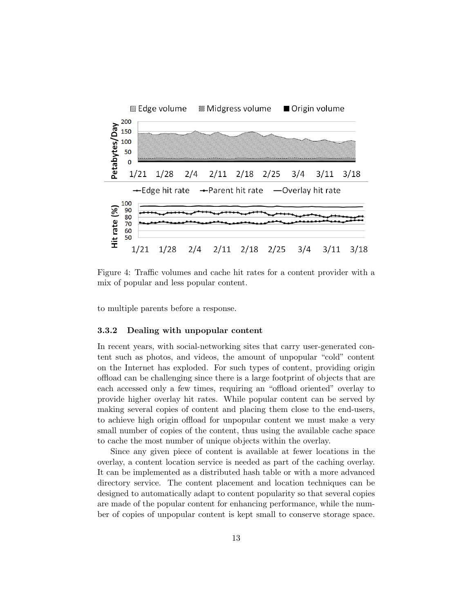

Figure 4: Traffic volumes and cache hit rates for a content provider with a mix of popular and less popular content.

to multiple parents before a response.

#### 3.3.2 Dealing with unpopular content

In recent years, with social-networking sites that carry user-generated content such as photos, and videos, the amount of unpopular "cold" content on the Internet has exploded. For such types of content, providing origin offload can be challenging since there is a large footprint of objects that are each accessed only a few times, requiring an "offload oriented" overlay to provide higher overlay hit rates. While popular content can be served by making several copies of content and placing them close to the end-users, to achieve high origin offload for unpopular content we must make a very small number of copies of the content, thus using the available cache space to cache the most number of unique objects within the overlay.

Since any given piece of content is available at fewer locations in the overlay, a content location service is needed as part of the caching overlay. It can be implemented as a distributed hash table or with a more advanced directory service. The content placement and location techniques can be designed to automatically adapt to content popularity so that several copies are made of the popular content for enhancing performance, while the number of copies of unpopular content is kept small to conserve storage space.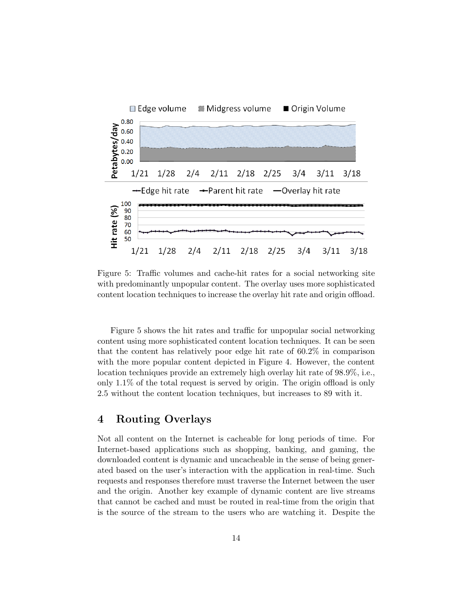

Figure 5: Traffic volumes and cache-hit rates for a social networking site with predominantly unpopular content. The overlay uses more sophisticated content location techniques to increase the overlay hit rate and origin offload.

Figure 5 shows the hit rates and traffic for unpopular social networking content using more sophisticated content location techniques. It can be seen that the content has relatively poor edge hit rate of 60.2% in comparison with the more popular content depicted in Figure 4. However, the content location techniques provide an extremely high overlay hit rate of 98.9%, i.e., only 1.1% of the total request is served by origin. The origin offload is only 2.5 without the content location techniques, but increases to 89 with it.

## 4 Routing Overlays

Not all content on the Internet is cacheable for long periods of time. For Internet-based applications such as shopping, banking, and gaming, the downloaded content is dynamic and uncacheable in the sense of being generated based on the user's interaction with the application in real-time. Such requests and responses therefore must traverse the Internet between the user and the origin. Another key example of dynamic content are live streams that cannot be cached and must be routed in real-time from the origin that is the source of the stream to the users who are watching it. Despite the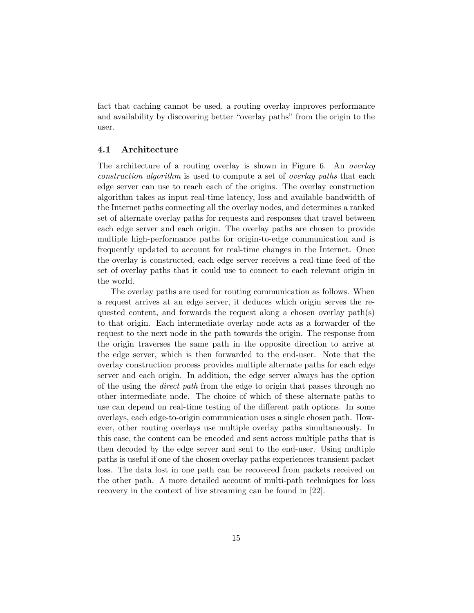fact that caching cannot be used, a routing overlay improves performance and availability by discovering better "overlay paths" from the origin to the user.

### 4.1 Architecture

The architecture of a routing overlay is shown in Figure 6. An *overlay* construction algorithm is used to compute a set of overlay paths that each edge server can use to reach each of the origins. The overlay construction algorithm takes as input real-time latency, loss and available bandwidth of the Internet paths connecting all the overlay nodes, and determines a ranked set of alternate overlay paths for requests and responses that travel between each edge server and each origin. The overlay paths are chosen to provide multiple high-performance paths for origin-to-edge communication and is frequently updated to account for real-time changes in the Internet. Once the overlay is constructed, each edge server receives a real-time feed of the set of overlay paths that it could use to connect to each relevant origin in the world.

The overlay paths are used for routing communication as follows. When a request arrives at an edge server, it deduces which origin serves the requested content, and forwards the request along a chosen overlay path(s) to that origin. Each intermediate overlay node acts as a forwarder of the request to the next node in the path towards the origin. The response from the origin traverses the same path in the opposite direction to arrive at the edge server, which is then forwarded to the end-user. Note that the overlay construction process provides multiple alternate paths for each edge server and each origin. In addition, the edge server always has the option of the using the direct path from the edge to origin that passes through no other intermediate node. The choice of which of these alternate paths to use can depend on real-time testing of the different path options. In some overlays, each edge-to-origin communication uses a single chosen path. However, other routing overlays use multiple overlay paths simultaneously. In this case, the content can be encoded and sent across multiple paths that is then decoded by the edge server and sent to the end-user. Using multiple paths is useful if one of the chosen overlay paths experiences transient packet loss. The data lost in one path can be recovered from packets received on the other path. A more detailed account of multi-path techniques for loss recovery in the context of live streaming can be found in [22].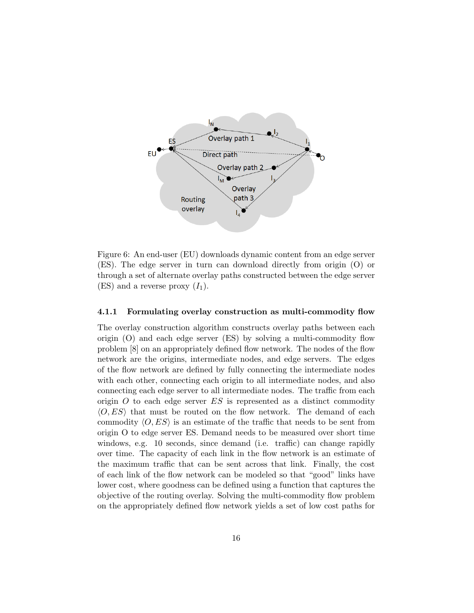

Figure 6: An end-user (EU) downloads dynamic content from an edge server (ES). The edge server in turn can download directly from origin (O) or through a set of alternate overlay paths constructed between the edge server (ES) and a reverse proxy  $(I_1)$ .

#### 4.1.1 Formulating overlay construction as multi-commodity flow

The overlay construction algorithm constructs overlay paths between each origin (O) and each edge server (ES) by solving a multi-commodity flow problem [8] on an appropriately defined flow network. The nodes of the flow network are the origins, intermediate nodes, and edge servers. The edges of the flow network are defined by fully connecting the intermediate nodes with each other, connecting each origin to all intermediate nodes, and also connecting each edge server to all intermediate nodes. The traffic from each origin  $O$  to each edge server  $ES$  is represented as a distinct commodity  $\langle O, ES \rangle$  that must be routed on the flow network. The demand of each commodity  $\langle O, ES \rangle$  is an estimate of the traffic that needs to be sent from origin O to edge server ES. Demand needs to be measured over short time windows, e.g. 10 seconds, since demand (i.e. traffic) can change rapidly over time. The capacity of each link in the flow network is an estimate of the maximum traffic that can be sent across that link. Finally, the cost of each link of the flow network can be modeled so that "good" links have lower cost, where goodness can be defined using a function that captures the objective of the routing overlay. Solving the multi-commodity flow problem on the appropriately defined flow network yields a set of low cost paths for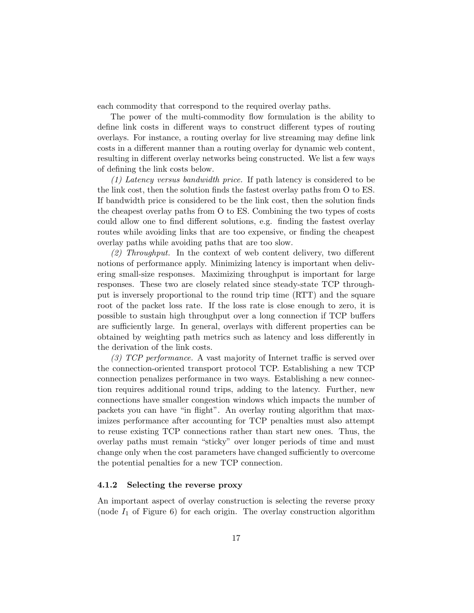each commodity that correspond to the required overlay paths.

The power of the multi-commodity flow formulation is the ability to define link costs in different ways to construct different types of routing overlays. For instance, a routing overlay for live streaming may define link costs in a different manner than a routing overlay for dynamic web content, resulting in different overlay networks being constructed. We list a few ways of defining the link costs below.

(1) Latency versus bandwidth price. If path latency is considered to be the link cost, then the solution finds the fastest overlay paths from O to ES. If bandwidth price is considered to be the link cost, then the solution finds the cheapest overlay paths from O to ES. Combining the two types of costs could allow one to find different solutions, e.g. finding the fastest overlay routes while avoiding links that are too expensive, or finding the cheapest overlay paths while avoiding paths that are too slow.

(2) Throughput. In the context of web content delivery, two different notions of performance apply. Minimizing latency is important when delivering small-size responses. Maximizing throughput is important for large responses. These two are closely related since steady-state TCP throughput is inversely proportional to the round trip time (RTT) and the square root of the packet loss rate. If the loss rate is close enough to zero, it is possible to sustain high throughput over a long connection if TCP buffers are sufficiently large. In general, overlays with different properties can be obtained by weighting path metrics such as latency and loss differently in the derivation of the link costs.

(3) TCP performance. A vast majority of Internet traffic is served over the connection-oriented transport protocol TCP. Establishing a new TCP connection penalizes performance in two ways. Establishing a new connection requires additional round trips, adding to the latency. Further, new connections have smaller congestion windows which impacts the number of packets you can have "in flight". An overlay routing algorithm that maximizes performance after accounting for TCP penalties must also attempt to reuse existing TCP connections rather than start new ones. Thus, the overlay paths must remain "sticky" over longer periods of time and must change only when the cost parameters have changed sufficiently to overcome the potential penalties for a new TCP connection.

#### 4.1.2 Selecting the reverse proxy

An important aspect of overlay construction is selecting the reverse proxy (node  $I_1$  of Figure 6) for each origin. The overlay construction algorithm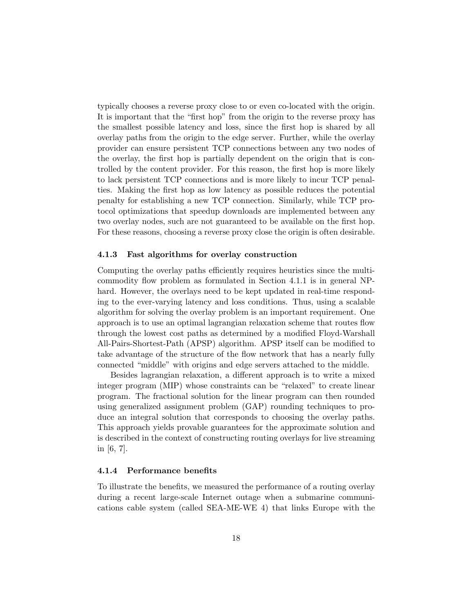typically chooses a reverse proxy close to or even co-located with the origin. It is important that the "first hop" from the origin to the reverse proxy has the smallest possible latency and loss, since the first hop is shared by all overlay paths from the origin to the edge server. Further, while the overlay provider can ensure persistent TCP connections between any two nodes of the overlay, the first hop is partially dependent on the origin that is controlled by the content provider. For this reason, the first hop is more likely to lack persistent TCP connections and is more likely to incur TCP penalties. Making the first hop as low latency as possible reduces the potential penalty for establishing a new TCP connection. Similarly, while TCP protocol optimizations that speedup downloads are implemented between any two overlay nodes, such are not guaranteed to be available on the first hop. For these reasons, choosing a reverse proxy close the origin is often desirable.

#### 4.1.3 Fast algorithms for overlay construction

Computing the overlay paths efficiently requires heuristics since the multicommodity flow problem as formulated in Section 4.1.1 is in general NPhard. However, the overlays need to be kept updated in real-time responding to the ever-varying latency and loss conditions. Thus, using a scalable algorithm for solving the overlay problem is an important requirement. One approach is to use an optimal lagrangian relaxation scheme that routes flow through the lowest cost paths as determined by a modified Floyd-Warshall All-Pairs-Shortest-Path (APSP) algorithm. APSP itself can be modified to take advantage of the structure of the flow network that has a nearly fully connected "middle" with origins and edge servers attached to the middle.

Besides lagrangian relaxation, a different approach is to write a mixed integer program (MIP) whose constraints can be "relaxed" to create linear program. The fractional solution for the linear program can then rounded using generalized assignment problem (GAP) rounding techniques to produce an integral solution that corresponds to choosing the overlay paths. This approach yields provable guarantees for the approximate solution and is described in the context of constructing routing overlays for live streaming in [6, 7].

#### 4.1.4 Performance benefits

To illustrate the benefits, we measured the performance of a routing overlay during a recent large-scale Internet outage when a submarine communications cable system (called SEA-ME-WE 4) that links Europe with the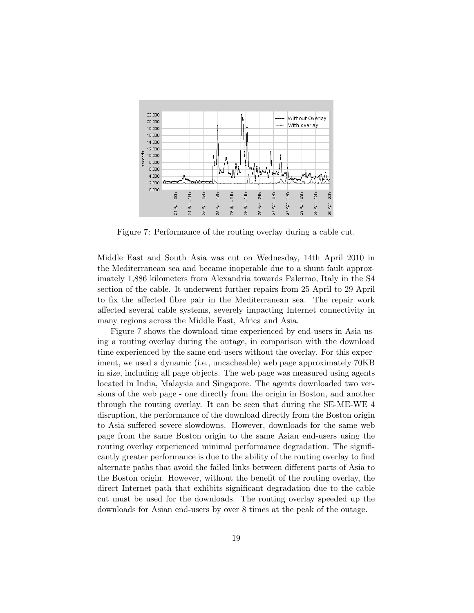

Figure 7: Performance of the routing overlay during a cable cut.

Middle East and South Asia was cut on Wednesday, 14th April 2010 in the Mediterranean sea and became inoperable due to a shunt fault approximately 1,886 kilometers from Alexandria towards Palermo, Italy in the S4 section of the cable. It underwent further repairs from 25 April to 29 April to fix the affected fibre pair in the Mediterranean sea. The repair work affected several cable systems, severely impacting Internet connectivity in many regions across the Middle East, Africa and Asia.

Figure 7 shows the download time experienced by end-users in Asia using a routing overlay during the outage, in comparison with the download time experienced by the same end-users without the overlay. For this experiment, we used a dynamic (i.e., uncacheable) web page approximately 70KB in size, including all page objects. The web page was measured using agents located in India, Malaysia and Singapore. The agents downloaded two versions of the web page - one directly from the origin in Boston, and another through the routing overlay. It can be seen that during the SE-ME-WE 4 disruption, the performance of the download directly from the Boston origin to Asia suffered severe slowdowns. However, downloads for the same web page from the same Boston origin to the same Asian end-users using the routing overlay experienced minimal performance degradation. The significantly greater performance is due to the ability of the routing overlay to find alternate paths that avoid the failed links between different parts of Asia to the Boston origin. However, without the benefit of the routing overlay, the direct Internet path that exhibits significant degradation due to the cable cut must be used for the downloads. The routing overlay speeded up the downloads for Asian end-users by over 8 times at the peak of the outage.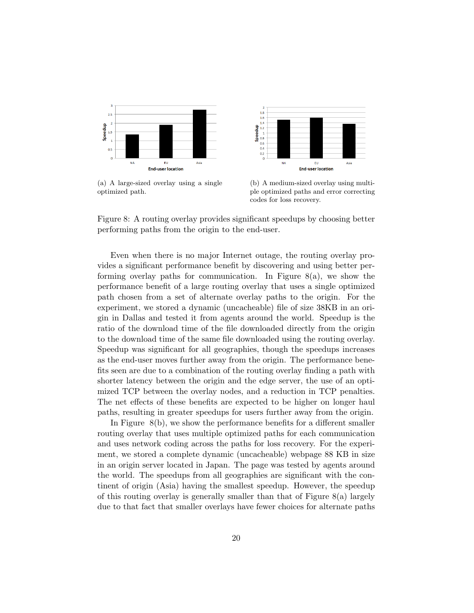

(a) A large-sized overlay using a single optimized path.



(b) A medium-sized overlay using multiple optimized paths and error correcting codes for loss recovery.



Even when there is no major Internet outage, the routing overlay provides a significant performance benefit by discovering and using better performing overlay paths for communication. In Figure  $8(a)$ , we show the performance benefit of a large routing overlay that uses a single optimized path chosen from a set of alternate overlay paths to the origin. For the experiment, we stored a dynamic (uncacheable) file of size 38KB in an origin in Dallas and tested it from agents around the world. Speedup is the ratio of the download time of the file downloaded directly from the origin to the download time of the same file downloaded using the routing overlay. Speedup was significant for all geographies, though the speedups increases as the end-user moves further away from the origin. The performance benefits seen are due to a combination of the routing overlay finding a path with shorter latency between the origin and the edge server, the use of an optimized TCP between the overlay nodes, and a reduction in TCP penalties. The net effects of these benefits are expected to be higher on longer haul paths, resulting in greater speedups for users further away from the origin.

In Figure 8(b), we show the performance benefits for a different smaller routing overlay that uses multiple optimized paths for each communication and uses network coding across the paths for loss recovery. For the experiment, we stored a complete dynamic (uncacheable) webpage 88 KB in size in an origin server located in Japan. The page was tested by agents around the world. The speedups from all geographies are significant with the continent of origin (Asia) having the smallest speedup. However, the speedup of this routing overlay is generally smaller than that of Figure 8(a) largely due to that fact that smaller overlays have fewer choices for alternate paths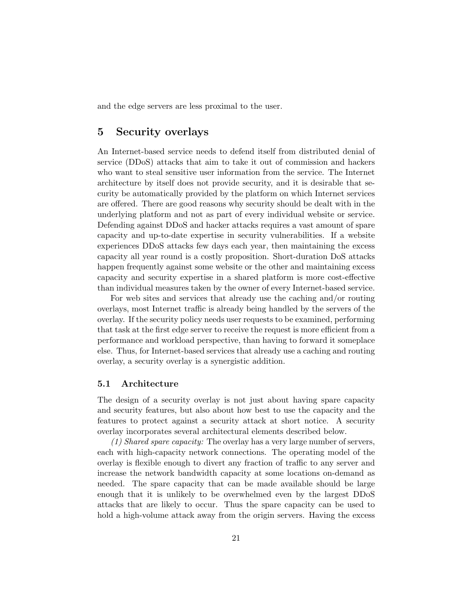and the edge servers are less proximal to the user.

## 5 Security overlays

An Internet-based service needs to defend itself from distributed denial of service (DDoS) attacks that aim to take it out of commission and hackers who want to steal sensitive user information from the service. The Internet architecture by itself does not provide security, and it is desirable that security be automatically provided by the platform on which Internet services are offered. There are good reasons why security should be dealt with in the underlying platform and not as part of every individual website or service. Defending against DDoS and hacker attacks requires a vast amount of spare capacity and up-to-date expertise in security vulnerabilities. If a website experiences DDoS attacks few days each year, then maintaining the excess capacity all year round is a costly proposition. Short-duration DoS attacks happen frequently against some website or the other and maintaining excess capacity and security expertise in a shared platform is more cost-effective than individual measures taken by the owner of every Internet-based service.

For web sites and services that already use the caching and/or routing overlays, most Internet traffic is already being handled by the servers of the overlay. If the security policy needs user requests to be examined, performing that task at the first edge server to receive the request is more efficient from a performance and workload perspective, than having to forward it someplace else. Thus, for Internet-based services that already use a caching and routing overlay, a security overlay is a synergistic addition.

#### 5.1 Architecture

The design of a security overlay is not just about having spare capacity and security features, but also about how best to use the capacity and the features to protect against a security attack at short notice. A security overlay incorporates several architectural elements described below.

(1) Shared spare capacity: The overlay has a very large number of servers, each with high-capacity network connections. The operating model of the overlay is flexible enough to divert any fraction of traffic to any server and increase the network bandwidth capacity at some locations on-demand as needed. The spare capacity that can be made available should be large enough that it is unlikely to be overwhelmed even by the largest DDoS attacks that are likely to occur. Thus the spare capacity can be used to hold a high-volume attack away from the origin servers. Having the excess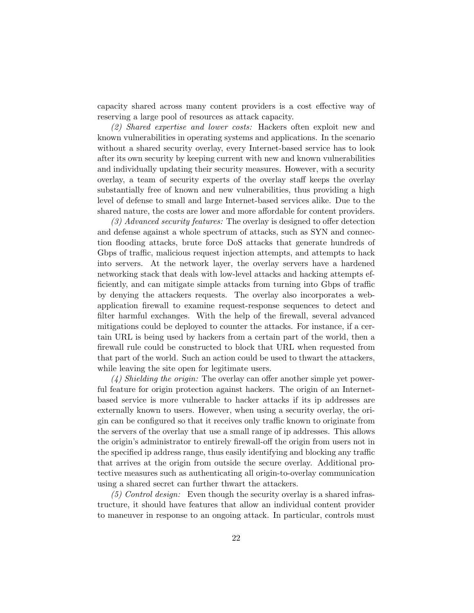capacity shared across many content providers is a cost effective way of reserving a large pool of resources as attack capacity.

(2) Shared expertise and lower costs: Hackers often exploit new and known vulnerabilities in operating systems and applications. In the scenario without a shared security overlay, every Internet-based service has to look after its own security by keeping current with new and known vulnerabilities and individually updating their security measures. However, with a security overlay, a team of security experts of the overlay staff keeps the overlay substantially free of known and new vulnerabilities, thus providing a high level of defense to small and large Internet-based services alike. Due to the shared nature, the costs are lower and more affordable for content providers.

(3) Advanced security features: The overlay is designed to offer detection and defense against a whole spectrum of attacks, such as SYN and connection flooding attacks, brute force DoS attacks that generate hundreds of Gbps of traffic, malicious request injection attempts, and attempts to hack into servers. At the network layer, the overlay servers have a hardened networking stack that deals with low-level attacks and hacking attempts efficiently, and can mitigate simple attacks from turning into Gbps of traffic by denying the attackers requests. The overlay also incorporates a webapplication firewall to examine request-response sequences to detect and filter harmful exchanges. With the help of the firewall, several advanced mitigations could be deployed to counter the attacks. For instance, if a certain URL is being used by hackers from a certain part of the world, then a firewall rule could be constructed to block that URL when requested from that part of the world. Such an action could be used to thwart the attackers, while leaving the site open for legitimate users.

 $(4)$  Shielding the origin: The overlay can offer another simple yet powerful feature for origin protection against hackers. The origin of an Internetbased service is more vulnerable to hacker attacks if its ip addresses are externally known to users. However, when using a security overlay, the origin can be configured so that it receives only traffic known to originate from the servers of the overlay that use a small range of ip addresses. This allows the origin's administrator to entirely firewall-off the origin from users not in the specified ip address range, thus easily identifying and blocking any traffic that arrives at the origin from outside the secure overlay. Additional protective measures such as authenticating all origin-to-overlay communication using a shared secret can further thwart the attackers.

 $(5)$  Control design: Even though the security overlay is a shared infrastructure, it should have features that allow an individual content provider to maneuver in response to an ongoing attack. In particular, controls must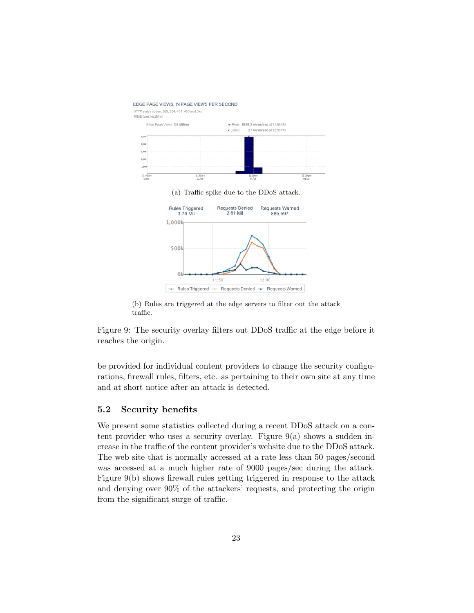

(b) Rules are triggered at the edge servers to filter out the attack traffic.

Figure 9: The security overlay filters out DDoS traffic at the edge before it reaches the origin.

be provided for individual content providers to change the security configurations, firewall rules, filters, etc. as pertaining to their own site at any time and at short notice after an attack is detected.

### 5.2 Security benefits

We present some statistics collected during a recent DDoS attack on a content provider who uses a security overlay. Figure  $9(a)$  shows a sudden increase in the traffic of the content provider's website due to the DDoS attack. The web site that is normally accessed at a rate less than 50 pages/second was accessed at a much higher rate of 9000 pages/sec during the attack. Figure 9(b) shows firewall rules getting triggered in response to the attack and denying over 90% of the attackers' requests, and protecting the origin from the significant surge of traffic.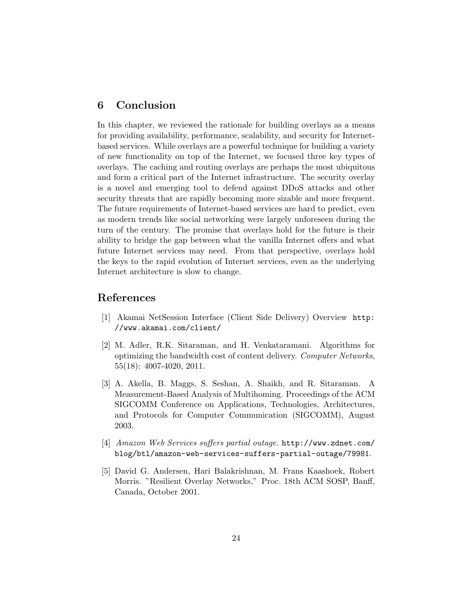## 6 Conclusion

In this chapter, we reviewed the rationale for building overlays as a means for providing availability, performance, scalability, and security for Internetbased services. While overlays are a powerful technique for building a variety of new functionality on top of the Internet, we focused three key types of overlays. The caching and routing overlays are perhaps the most ubiquitous and form a critical part of the Internet infrastructure. The security overlay is a novel and emerging tool to defend against DDoS attacks and other security threats that are rapidly becoming more sizable and more frequent. The future requirements of Internet-based services are hard to predict, even as modern trends like social networking were largely unforeseen during the turn of the century. The promise that overlays hold for the future is their ability to bridge the gap between what the vanilla Internet offers and what future Internet services may need. From that perspective, overlays hold the keys to the rapid evolution of Internet services, even as the underlying Internet architecture is slow to change.

## References

- [1] Akamai NetSession Interface (Client Side Delivery) Overview http: //www.akamai.com/client/
- [2] M. Adler, R.K. Sitaraman, and H. Venkataramani. Algorithms for optimizing the bandwidth cost of content delivery. Computer Networks, 55(18): 4007-4020, 2011.
- [3] A. Akella, B. Maggs, S. Seshan, A. Shaikh, and R. Sitaraman. A Measurement-Based Analysis of Multihoming. Proceedings of the ACM SIGCOMM Conference on Applications, Technologies, Architectures, and Protocols for Computer Communication (SIGCOMM), August 2003.
- [4] Amazon Web Services suffers partial outage. http://www.zdnet.com/ blog/btl/amazon-web-services-suffers-partial-outage/79981.
- [5] David G. Andersen, Hari Balakrishnan, M. Frans Kaashoek, Robert Morris. "Resilient Overlay Networks," Proc. 18th ACM SOSP, Banff, Canada, October 2001.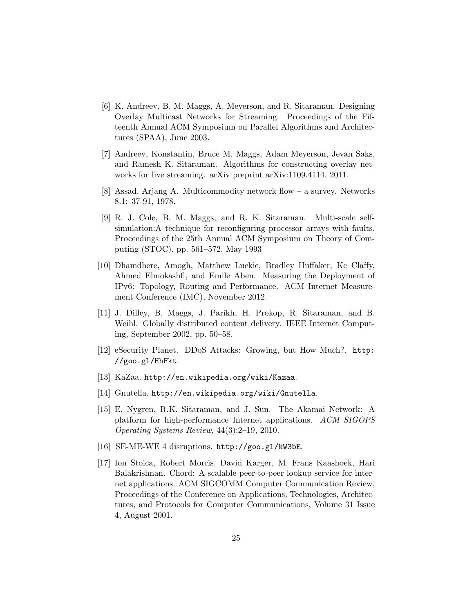- [6] K. Andreev, B. M. Maggs, A. Meyerson, and R. Sitaraman. Designing Overlay Multicast Networks for Streaming. Proceedings of the Fifteenth Annual ACM Symposium on Parallel Algorithms and Architectures (SPAA), June 2003.
- [7] Andreev, Konstantin, Bruce M. Maggs, Adam Meyerson, Jevan Saks, and Ramesh K. Sitaraman. Algorithms for constructing overlay networks for live streaming. arXiv preprint arXiv:1109.4114, 2011.
- [8] Assad, Arjang A. Multicommodity network flow a survey. Networks 8.1: 37-91, 1978.
- [9] R. J. Cole, B. M. Maggs, and R. K. Sitaraman. Multi-scale selfsimulation:A technique for reconfiguring processor arrays with faults. Proceedings of the 25th Annual ACM Symposium on Theory of Computing (STOC), pp. 561–572, May 1993
- [10] Dhamdhere, Amogh, Matthew Luckie, Bradley Huffaker, Kc Claffy, Ahmed Elmokashfi, and Emile Aben. Measuring the Deployment of IPv6: Topology, Routing and Performance. ACM Internet Measurement Conference (IMC), November 2012.
- [11] J. Dilley, B. Maggs, J. Parikh, H. Prokop, R. Sitaraman, and B. Weihl. Globally distributed content delivery. IEEE Internet Computing, September 2002, pp. 50–58.
- [12] eSecurity Planet. DDoS Attacks: Growing, but How Much?. http: //goo.gl/HhFkt.
- [13] KaZaa. http://en.wikipedia.org/wiki/Kazaa.
- [14] Gnutella. http://en.wikipedia.org/wiki/Gnutella.
- [15] E. Nygren, R.K. Sitaraman, and J. Sun. The Akamai Network: A platform for high-performance Internet applications. ACM SIGOPS Operating Systems Review, 44(3):2–19, 2010.
- [16] SE-ME-WE 4 disruptions. http://goo.gl/kW3bE.
- [17] Ion Stoica, Robert Morris, David Karger, M. Frans Kaashoek, Hari Balakrishnan. Chord: A scalable peer-to-peer lookup service for internet applications. ACM SIGCOMM Computer Communication Review, Proceedings of the Conference on Applications, Technologies, Architectures, and Protocols for Computer Communications, Volume 31 Issue 4, August 2001.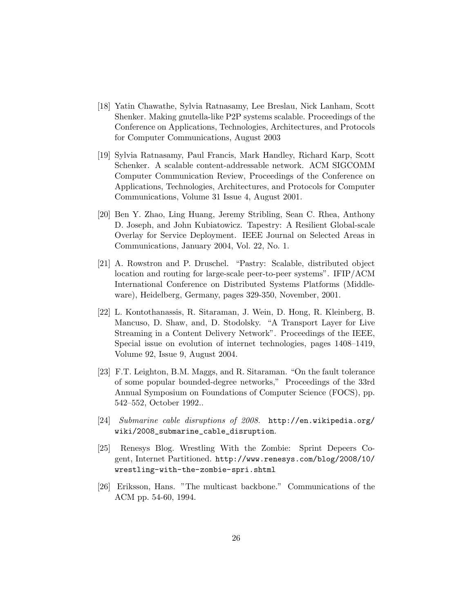- [18] Yatin Chawathe, Sylvia Ratnasamy, Lee Breslau, Nick Lanham, Scott Shenker. Making gnutella-like P2P systems scalable. Proceedings of the Conference on Applications, Technologies, Architectures, and Protocols for Computer Communications, August 2003
- [19] Sylvia Ratnasamy, Paul Francis, Mark Handley, Richard Karp, Scott Schenker. A scalable content-addressable network. ACM SIGCOMM Computer Communication Review, Proceedings of the Conference on Applications, Technologies, Architectures, and Protocols for Computer Communications, Volume 31 Issue 4, August 2001.
- [20] Ben Y. Zhao, Ling Huang, Jeremy Stribling, Sean C. Rhea, Anthony D. Joseph, and John Kubiatowicz. Tapestry: A Resilient Global-scale Overlay for Service Deployment. IEEE Journal on Selected Areas in Communications, January 2004, Vol. 22, No. 1.
- [21] A. Rowstron and P. Druschel. "Pastry: Scalable, distributed object location and routing for large-scale peer-to-peer systems". IFIP/ACM International Conference on Distributed Systems Platforms (Middleware), Heidelberg, Germany, pages 329-350, November, 2001.
- [22] L. Kontothanassis, R. Sitaraman, J. Wein, D. Hong, R. Kleinberg, B. Mancuso, D. Shaw, and, D. Stodolsky. "A Transport Layer for Live Streaming in a Content Delivery Network". Proceedings of the IEEE, Special issue on evolution of internet technologies, pages 1408–1419, Volume 92, Issue 9, August 2004.
- [23] F.T. Leighton, B.M. Maggs, and R. Sitaraman. "On the fault tolerance of some popular bounded-degree networks," Proceedings of the 33rd Annual Symposium on Foundations of Computer Science (FOCS), pp. 542–552, October 1992..
- [24] Submarine cable disruptions of 2008. http://en.wikipedia.org/ wiki/2008\_submarine\_cable\_disruption.
- [25] Renesys Blog. Wrestling With the Zombie: Sprint Depeers Cogent, Internet Partitioned. http://www.renesys.com/blog/2008/10/ wrestling-with-the-zombie-spri.shtml
- [26] Eriksson, Hans. "The multicast backbone." Communications of the ACM pp. 54-60, 1994.